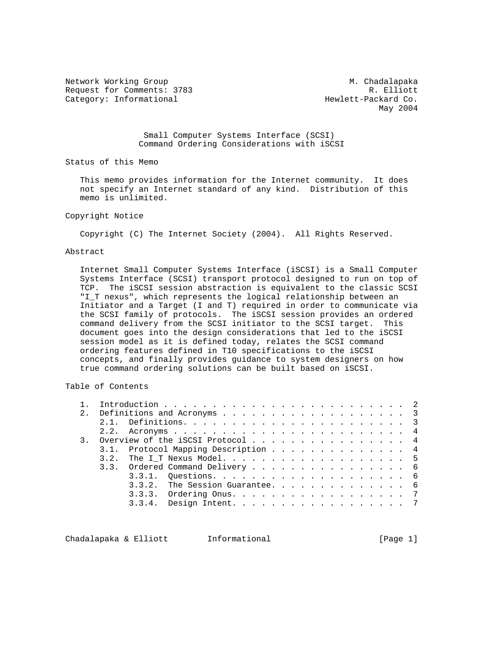Network Working Group Metwork M. Chadalapaka Request for Comments: 3783 R. Elliott Category: Informational extending the Hewlett-Packard Co.

May 2004

 Small Computer Systems Interface (SCSI) Command Ordering Considerations with iSCSI

Status of this Memo

 This memo provides information for the Internet community. It does not specify an Internet standard of any kind. Distribution of this memo is unlimited.

#### Copyright Notice

Copyright (C) The Internet Society (2004). All Rights Reserved.

#### Abstract

 Internet Small Computer Systems Interface (iSCSI) is a Small Computer Systems Interface (SCSI) transport protocol designed to run on top of TCP. The iSCSI session abstraction is equivalent to the classic SCSI "I\_T nexus", which represents the logical relationship between an Initiator and a Target (I and T) required in order to communicate via the SCSI family of protocols. The iSCSI session provides an ordered command delivery from the SCSI initiator to the SCSI target. This document goes into the design considerations that led to the iSCSI session model as it is defined today, relates the SCSI command ordering features defined in T10 specifications to the iSCSI concepts, and finally provides guidance to system designers on how true command ordering solutions can be built based on iSCSI.

Table of Contents

| 2. |      | Definitions and Acronyms 3          |  |  |  |  |  |  |  |  |  |  |
|----|------|-------------------------------------|--|--|--|--|--|--|--|--|--|--|
|    |      |                                     |  |  |  |  |  |  |  |  |  |  |
|    |      |                                     |  |  |  |  |  |  |  |  |  |  |
|    |      | 3. Overview of the iSCSI Protocol 4 |  |  |  |  |  |  |  |  |  |  |
|    |      | 3.1. Protocol Mapping Description 4 |  |  |  |  |  |  |  |  |  |  |
|    | 3.2. | The IT Nexus Model. 5               |  |  |  |  |  |  |  |  |  |  |
|    |      | 3.3. Ordered Command Delivery 6     |  |  |  |  |  |  |  |  |  |  |
|    |      |                                     |  |  |  |  |  |  |  |  |  |  |
|    |      | $3.3.2$ . The Session Guarantee. 6  |  |  |  |  |  |  |  |  |  |  |
|    |      | 3.3.3. Ordering Onus. 7             |  |  |  |  |  |  |  |  |  |  |
|    |      | $3.3.4.$ Design Intent. 7           |  |  |  |  |  |  |  |  |  |  |
|    |      |                                     |  |  |  |  |  |  |  |  |  |  |

Chadalapaka & Elliott Informational (Page 1)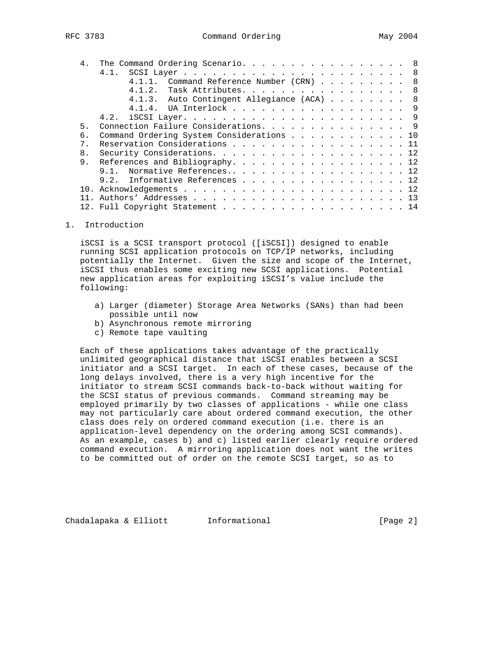|       | The Command Ordering Scenario. 8               |
|-------|------------------------------------------------|
|       | 4.1.                                           |
|       | 4.1.1. Command Reference Number (CRN) 8        |
|       | Task Attributes. 8<br>4.1.2.                   |
|       | 4.1.3. Auto Contingent Allegiance (ACA)<br>- 8 |
|       | 4.1.4. UA Interlock 9                          |
|       |                                                |
| 5.    | Connection Failure Considerations. 9           |
| б.    | Command Ordering System Considerations 10      |
| $7$ . | Reservation Considerations 11                  |
| 8.    |                                                |
| 9     | References and Bibliography. 12                |
|       | Normative References12<br>9.1.                 |
|       | 9.2. Informative References 12                 |
|       |                                                |
|       |                                                |
|       | 12. Full Copyright Statement 14                |

#### 1. Introduction

 iSCSI is a SCSI transport protocol ([iSCSI]) designed to enable running SCSI application protocols on TCP/IP networks, including potentially the Internet. Given the size and scope of the Internet, iSCSI thus enables some exciting new SCSI applications. Potential new application areas for exploiting iSCSI's value include the following:

- a) Larger (diameter) Storage Area Networks (SANs) than had been possible until now
- b) Asynchronous remote mirroring
- c) Remote tape vaulting

 Each of these applications takes advantage of the practically unlimited geographical distance that iSCSI enables between a SCSI initiator and a SCSI target. In each of these cases, because of the long delays involved, there is a very high incentive for the initiator to stream SCSI commands back-to-back without waiting for the SCSI status of previous commands. Command streaming may be employed primarily by two classes of applications - while one class may not particularly care about ordered command execution, the other class does rely on ordered command execution (i.e. there is an application-level dependency on the ordering among SCSI commands). As an example, cases b) and c) listed earlier clearly require ordered command execution. A mirroring application does not want the writes to be committed out of order on the remote SCSI target, so as to

Chadalapaka & Elliott Informational [Page 2]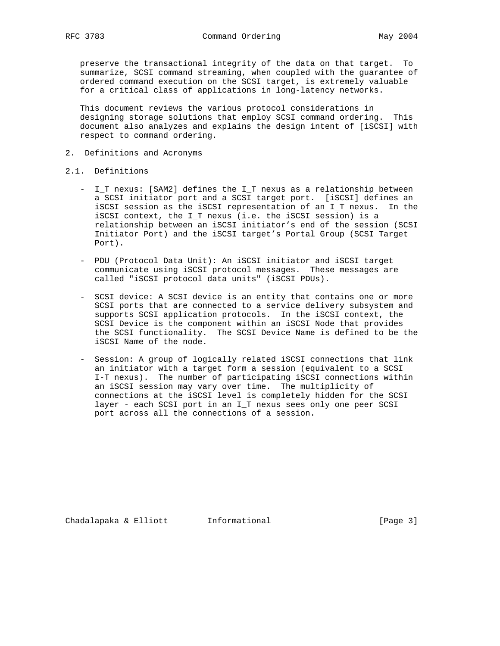preserve the transactional integrity of the data on that target. To summarize, SCSI command streaming, when coupled with the guarantee of ordered command execution on the SCSI target, is extremely valuable for a critical class of applications in long-latency networks.

 This document reviews the various protocol considerations in designing storage solutions that employ SCSI command ordering. This document also analyzes and explains the design intent of [iSCSI] with respect to command ordering.

- 2. Definitions and Acronyms
- 2.1. Definitions
	- I\_T nexus: [SAM2] defines the I\_T nexus as a relationship between a SCSI initiator port and a SCSI target port. [iSCSI] defines an iSCSI session as the iSCSI representation of an I\_T nexus. In the iSCSI context, the I\_T nexus (i.e. the iSCSI session) is a relationship between an iSCSI initiator's end of the session (SCSI Initiator Port) and the iSCSI target's Portal Group (SCSI Target Port).
	- PDU (Protocol Data Unit): An iSCSI initiator and iSCSI target communicate using iSCSI protocol messages. These messages are called "iSCSI protocol data units" (iSCSI PDUs).
	- SCSI device: A SCSI device is an entity that contains one or more SCSI ports that are connected to a service delivery subsystem and supports SCSI application protocols. In the iSCSI context, the SCSI Device is the component within an iSCSI Node that provides the SCSI functionality. The SCSI Device Name is defined to be the iSCSI Name of the node.
	- Session: A group of logically related iSCSI connections that link an initiator with a target form a session (equivalent to a SCSI I-T nexus). The number of participating iSCSI connections within an iSCSI session may vary over time. The multiplicity of connections at the iSCSI level is completely hidden for the SCSI layer - each SCSI port in an I\_T nexus sees only one peer SCSI port across all the connections of a session.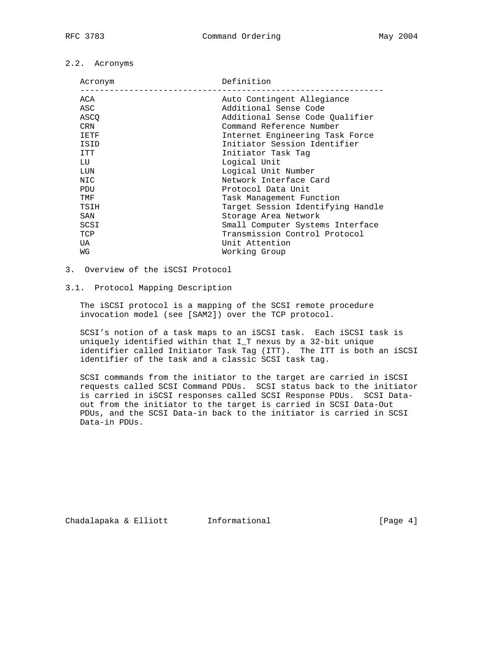# 2.2. Acronyms

| Acronym    | Definition                        |
|------------|-----------------------------------|
| ACA        | Auto Contingent Allegiance        |
| ASC        | Additional Sense Code             |
| ASCO       | Additional Sense Code Oualifier   |
| <b>CRN</b> | Command Reference Number          |
| IETF       | Internet Engineering Task Force   |
| ISID       | Initiator Session Identifier      |
| ITT        | Initiator Task Tag                |
| LU         | Logical Unit                      |
| LUN        | Logical Unit Number               |
| NIC        | Network Interface Card            |
| <b>PDU</b> | Protocol Data Unit                |
| TMF        | Task Management Function          |
| TSIH       | Target Session Identifying Handle |
| SAN        | Storage Area Network              |
| SCSI       | Small Computer Systems Interface  |
| TCP        | Transmission Control Protocol     |
| UA         | Unit Attention                    |
| WG         | Working Group                     |
|            |                                   |

# 3. Overview of the iSCSI Protocol

## 3.1. Protocol Mapping Description

 The iSCSI protocol is a mapping of the SCSI remote procedure invocation model (see [SAM2]) over the TCP protocol.

 SCSI's notion of a task maps to an iSCSI task. Each iSCSI task is uniquely identified within that I\_T nexus by a 32-bit unique identifier called Initiator Task Tag (ITT). The ITT is both an iSCSI identifier of the task and a classic SCSI task tag.

 SCSI commands from the initiator to the target are carried in iSCSI requests called SCSI Command PDUs. SCSI status back to the initiator is carried in iSCSI responses called SCSI Response PDUs. SCSI Data out from the initiator to the target is carried in SCSI Data-Out PDUs, and the SCSI Data-in back to the initiator is carried in SCSI Data-in PDUs.

Chadalapaka & Elliott Informational (Page 4)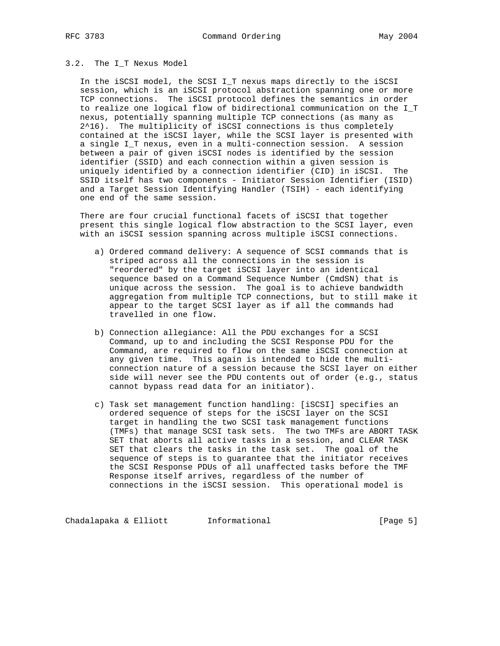# 3.2. The I\_T Nexus Model

 In the iSCSI model, the SCSI I\_T nexus maps directly to the iSCSI session, which is an iSCSI protocol abstraction spanning one or more TCP connections. The iSCSI protocol defines the semantics in order to realize one logical flow of bidirectional communication on the I\_T nexus, potentially spanning multiple TCP connections (as many as 2^16). The multiplicity of iSCSI connections is thus completely contained at the iSCSI layer, while the SCSI layer is presented with a single I\_T nexus, even in a multi-connection session. A session between a pair of given iSCSI nodes is identified by the session identifier (SSID) and each connection within a given session is uniquely identified by a connection identifier (CID) in iSCSI. The SSID itself has two components - Initiator Session Identifier (ISID) and a Target Session Identifying Handler (TSIH) - each identifying one end of the same session.

 There are four crucial functional facets of iSCSI that together present this single logical flow abstraction to the SCSI layer, even with an iSCSI session spanning across multiple iSCSI connections.

- a) Ordered command delivery: A sequence of SCSI commands that is striped across all the connections in the session is "reordered" by the target iSCSI layer into an identical sequence based on a Command Sequence Number (CmdSN) that is unique across the session. The goal is to achieve bandwidth aggregation from multiple TCP connections, but to still make it appear to the target SCSI layer as if all the commands had travelled in one flow.
- b) Connection allegiance: All the PDU exchanges for a SCSI Command, up to and including the SCSI Response PDU for the Command, are required to flow on the same iSCSI connection at any given time. This again is intended to hide the multi connection nature of a session because the SCSI layer on either side will never see the PDU contents out of order (e.g., status cannot bypass read data for an initiator).
- c) Task set management function handling: [iSCSI] specifies an ordered sequence of steps for the iSCSI layer on the SCSI target in handling the two SCSI task management functions (TMFs) that manage SCSI task sets. The two TMFs are ABORT TASK SET that aborts all active tasks in a session, and CLEAR TASK SET that clears the tasks in the task set. The goal of the sequence of steps is to guarantee that the initiator receives the SCSI Response PDUs of all unaffected tasks before the TMF Response itself arrives, regardless of the number of connections in the iSCSI session. This operational model is

Chadalapaka & Elliott Informational (Page 5)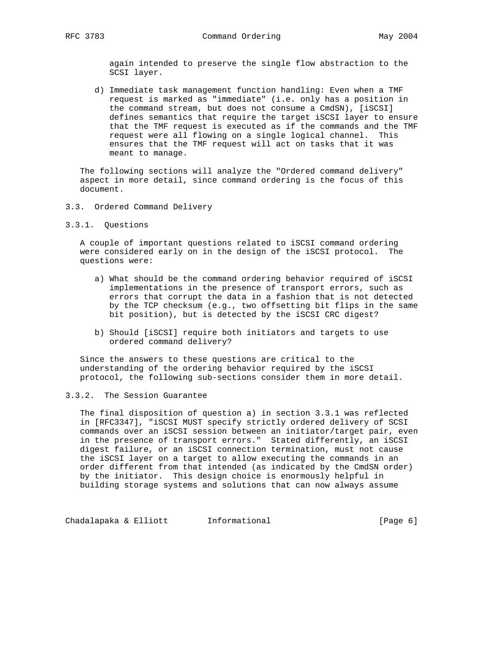again intended to preserve the single flow abstraction to the SCSI layer.

 d) Immediate task management function handling: Even when a TMF request is marked as "immediate" (i.e. only has a position in the command stream, but does not consume a CmdSN), [iSCSI] defines semantics that require the target iSCSI layer to ensure that the TMF request is executed as if the commands and the TMF request were all flowing on a single logical channel. This ensures that the TMF request will act on tasks that it was meant to manage.

 The following sections will analyze the "Ordered command delivery" aspect in more detail, since command ordering is the focus of this document.

- 3.3. Ordered Command Delivery
- 3.3.1. Questions

 A couple of important questions related to iSCSI command ordering were considered early on in the design of the iSCSI protocol. The questions were:

- a) What should be the command ordering behavior required of iSCSI implementations in the presence of transport errors, such as errors that corrupt the data in a fashion that is not detected by the TCP checksum (e.g., two offsetting bit flips in the same bit position), but is detected by the iSCSI CRC digest?
- b) Should [iSCSI] require both initiators and targets to use ordered command delivery?

 Since the answers to these questions are critical to the understanding of the ordering behavior required by the iSCSI protocol, the following sub-sections consider them in more detail.

#### 3.3.2. The Session Guarantee

 The final disposition of question a) in section 3.3.1 was reflected in [RFC3347], "iSCSI MUST specify strictly ordered delivery of SCSI commands over an iSCSI session between an initiator/target pair, even in the presence of transport errors." Stated differently, an iSCSI digest failure, or an iSCSI connection termination, must not cause the iSCSI layer on a target to allow executing the commands in an order different from that intended (as indicated by the CmdSN order) by the initiator. This design choice is enormously helpful in building storage systems and solutions that can now always assume

Chadalapaka & Elliott Informational (Page 6)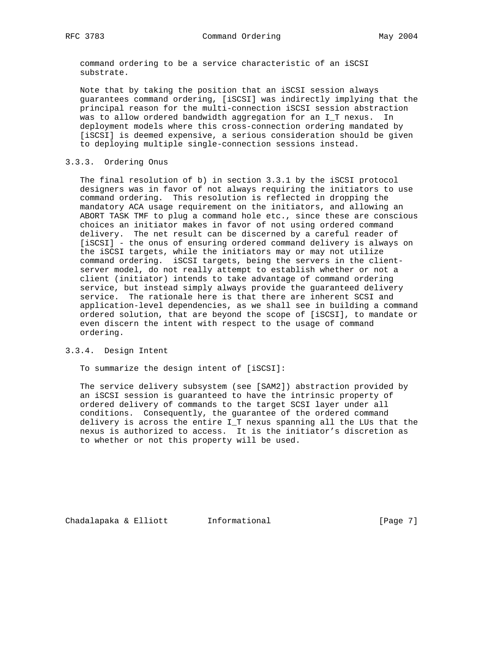command ordering to be a service characteristic of an iSCSI substrate.

 Note that by taking the position that an iSCSI session always guarantees command ordering, [iSCSI] was indirectly implying that the principal reason for the multi-connection iSCSI session abstraction was to allow ordered bandwidth aggregation for an I\_T nexus. In deployment models where this cross-connection ordering mandated by [iSCSI] is deemed expensive, a serious consideration should be given to deploying multiple single-connection sessions instead.

# 3.3.3. Ordering Onus

 The final resolution of b) in section 3.3.1 by the iSCSI protocol designers was in favor of not always requiring the initiators to use command ordering. This resolution is reflected in dropping the mandatory ACA usage requirement on the initiators, and allowing an ABORT TASK TMF to plug a command hole etc., since these are conscious choices an initiator makes in favor of not using ordered command delivery. The net result can be discerned by a careful reader of [iSCSI] - the onus of ensuring ordered command delivery is always on the iSCSI targets, while the initiators may or may not utilize command ordering. iSCSI targets, being the servers in the client server model, do not really attempt to establish whether or not a client (initiator) intends to take advantage of command ordering service, but instead simply always provide the guaranteed delivery service. The rationale here is that there are inherent SCSI and application-level dependencies, as we shall see in building a command ordered solution, that are beyond the scope of [iSCSI], to mandate or even discern the intent with respect to the usage of command ordering.

#### 3.3.4. Design Intent

To summarize the design intent of [iSCSI]:

 The service delivery subsystem (see [SAM2]) abstraction provided by an iSCSI session is guaranteed to have the intrinsic property of ordered delivery of commands to the target SCSI layer under all conditions. Consequently, the guarantee of the ordered command delivery is across the entire I\_T nexus spanning all the LUs that the nexus is authorized to access. It is the initiator's discretion as to whether or not this property will be used.

Chadalapaka & Elliott Informational (Page 7)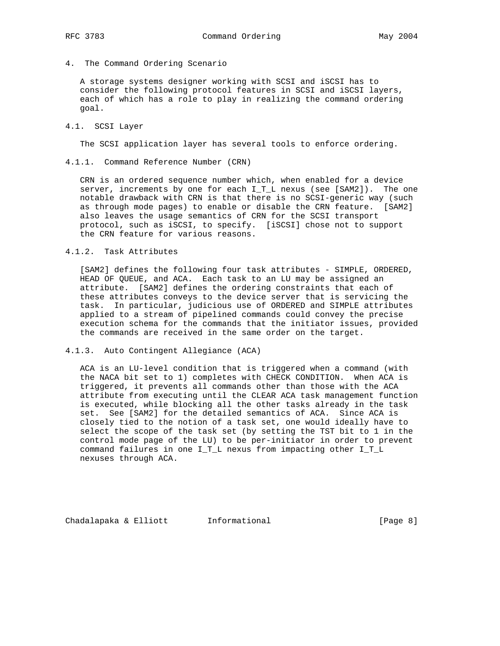4. The Command Ordering Scenario

 A storage systems designer working with SCSI and iSCSI has to consider the following protocol features in SCSI and iSCSI layers, each of which has a role to play in realizing the command ordering goal.

#### 4.1. SCSI Layer

The SCSI application layer has several tools to enforce ordering.

4.1.1. Command Reference Number (CRN)

 CRN is an ordered sequence number which, when enabled for a device server, increments by one for each I\_T\_L nexus (see [SAM2]). The one notable drawback with CRN is that there is no SCSI-generic way (such as through mode pages) to enable or disable the CRN feature. [SAM2] also leaves the usage semantics of CRN for the SCSI transport protocol, such as iSCSI, to specify. [iSCSI] chose not to support the CRN feature for various reasons.

#### 4.1.2. Task Attributes

 [SAM2] defines the following four task attributes - SIMPLE, ORDERED, HEAD OF QUEUE, and ACA. Each task to an LU may be assigned an attribute. [SAM2] defines the ordering constraints that each of these attributes conveys to the device server that is servicing the task. In particular, judicious use of ORDERED and SIMPLE attributes applied to a stream of pipelined commands could convey the precise execution schema for the commands that the initiator issues, provided the commands are received in the same order on the target.

## 4.1.3. Auto Contingent Allegiance (ACA)

 ACA is an LU-level condition that is triggered when a command (with the NACA bit set to 1) completes with CHECK CONDITION. When ACA is triggered, it prevents all commands other than those with the ACA attribute from executing until the CLEAR ACA task management function is executed, while blocking all the other tasks already in the task set. See [SAM2] for the detailed semantics of ACA. Since ACA is closely tied to the notion of a task set, one would ideally have to select the scope of the task set (by setting the TST bit to 1 in the control mode page of the LU) to be per-initiator in order to prevent command failures in one I\_T\_L nexus from impacting other I\_T\_L nexuses through ACA.

Chadalapaka & Elliott Informational (Page 8)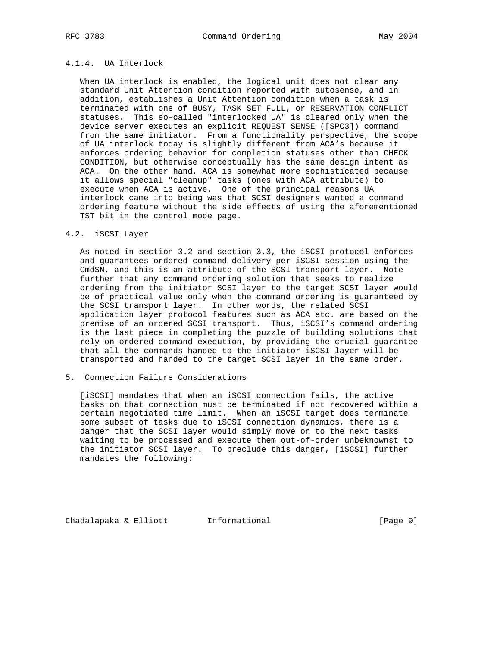# 4.1.4. UA Interlock

 When UA interlock is enabled, the logical unit does not clear any standard Unit Attention condition reported with autosense, and in addition, establishes a Unit Attention condition when a task is terminated with one of BUSY, TASK SET FULL, or RESERVATION CONFLICT statuses. This so-called "interlocked UA" is cleared only when the device server executes an explicit REQUEST SENSE ([SPC3]) command from the same initiator. From a functionality perspective, the scope of UA interlock today is slightly different from ACA's because it enforces ordering behavior for completion statuses other than CHECK CONDITION, but otherwise conceptually has the same design intent as ACA. On the other hand, ACA is somewhat more sophisticated because it allows special "cleanup" tasks (ones with ACA attribute) to execute when ACA is active. One of the principal reasons UA interlock came into being was that SCSI designers wanted a command ordering feature without the side effects of using the aforementioned TST bit in the control mode page.

#### 4.2. iSCSI Layer

 As noted in section 3.2 and section 3.3, the iSCSI protocol enforces and guarantees ordered command delivery per iSCSI session using the CmdSN, and this is an attribute of the SCSI transport layer. Note further that any command ordering solution that seeks to realize ordering from the initiator SCSI layer to the target SCSI layer would be of practical value only when the command ordering is guaranteed by the SCSI transport layer. In other words, the related SCSI application layer protocol features such as ACA etc. are based on the premise of an ordered SCSI transport. Thus, iSCSI's command ordering is the last piece in completing the puzzle of building solutions that rely on ordered command execution, by providing the crucial guarantee that all the commands handed to the initiator iSCSI layer will be transported and handed to the target SCSI layer in the same order.

### 5. Connection Failure Considerations

 [iSCSI] mandates that when an iSCSI connection fails, the active tasks on that connection must be terminated if not recovered within a certain negotiated time limit. When an iSCSI target does terminate some subset of tasks due to iSCSI connection dynamics, there is a danger that the SCSI layer would simply move on to the next tasks waiting to be processed and execute them out-of-order unbeknownst to the initiator SCSI layer. To preclude this danger, [iSCSI] further mandates the following:

Chadalapaka & Elliott Informational (Page 9)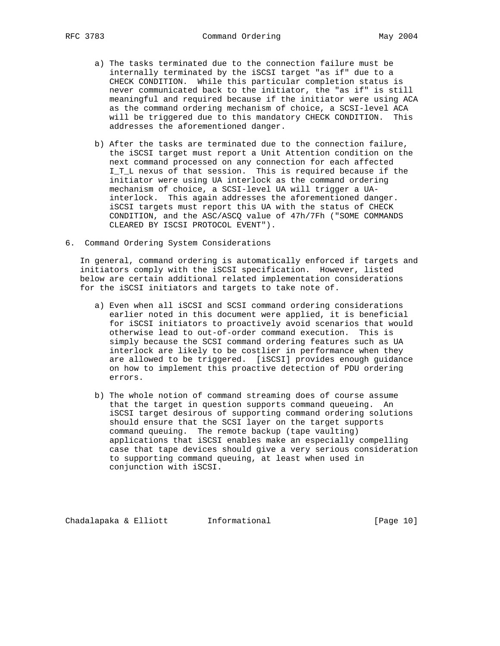- a) The tasks terminated due to the connection failure must be internally terminated by the iSCSI target "as if" due to a CHECK CONDITION. While this particular completion status is never communicated back to the initiator, the "as if" is still meaningful and required because if the initiator were using ACA as the command ordering mechanism of choice, a SCSI-level ACA will be triggered due to this mandatory CHECK CONDITION. This addresses the aforementioned danger.
- b) After the tasks are terminated due to the connection failure, the iSCSI target must report a Unit Attention condition on the next command processed on any connection for each affected I\_T\_L nexus of that session. This is required because if the initiator were using UA interlock as the command ordering mechanism of choice, a SCSI-level UA will trigger a UA interlock. This again addresses the aforementioned danger. iSCSI targets must report this UA with the status of CHECK CONDITION, and the ASC/ASCQ value of 47h/7Fh ("SOME COMMANDS CLEARED BY ISCSI PROTOCOL EVENT").
- 6. Command Ordering System Considerations

 In general, command ordering is automatically enforced if targets and initiators comply with the iSCSI specification. However, listed below are certain additional related implementation considerations for the iSCSI initiators and targets to take note of.

- a) Even when all iSCSI and SCSI command ordering considerations earlier noted in this document were applied, it is beneficial for iSCSI initiators to proactively avoid scenarios that would otherwise lead to out-of-order command execution. This is simply because the SCSI command ordering features such as UA interlock are likely to be costlier in performance when they are allowed to be triggered. [iSCSI] provides enough guidance on how to implement this proactive detection of PDU ordering errors.
- b) The whole notion of command streaming does of course assume that the target in question supports command queueing. An iSCSI target desirous of supporting command ordering solutions should ensure that the SCSI layer on the target supports command queuing. The remote backup (tape vaulting) applications that iSCSI enables make an especially compelling case that tape devices should give a very serious consideration to supporting command queuing, at least when used in conjunction with iSCSI.

Chadalapaka & Elliott Informational [Page 10]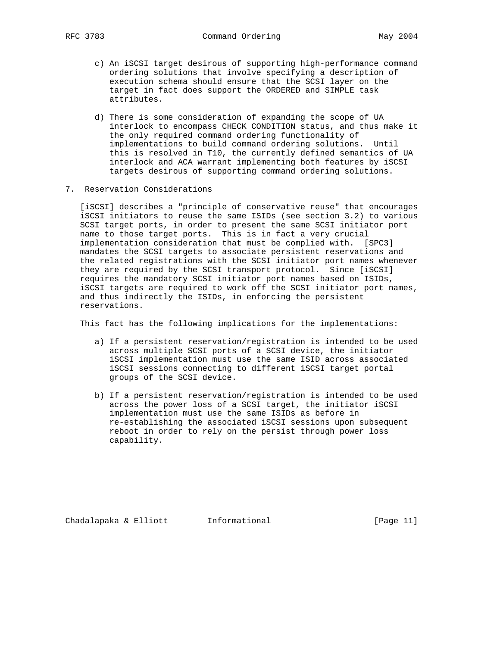- c) An iSCSI target desirous of supporting high-performance command ordering solutions that involve specifying a description of execution schema should ensure that the SCSI layer on the target in fact does support the ORDERED and SIMPLE task attributes.
- d) There is some consideration of expanding the scope of UA interlock to encompass CHECK CONDITION status, and thus make it the only required command ordering functionality of implementations to build command ordering solutions. Until this is resolved in T10, the currently defined semantics of UA interlock and ACA warrant implementing both features by iSCSI targets desirous of supporting command ordering solutions.
- 7. Reservation Considerations

 [iSCSI] describes a "principle of conservative reuse" that encourages iSCSI initiators to reuse the same ISIDs (see section 3.2) to various SCSI target ports, in order to present the same SCSI initiator port name to those target ports. This is in fact a very crucial implementation consideration that must be complied with. [SPC3] mandates the SCSI targets to associate persistent reservations and the related registrations with the SCSI initiator port names whenever they are required by the SCSI transport protocol. Since [iSCSI] requires the mandatory SCSI initiator port names based on ISIDs, iSCSI targets are required to work off the SCSI initiator port names, and thus indirectly the ISIDs, in enforcing the persistent reservations.

This fact has the following implications for the implementations:

- a) If a persistent reservation/registration is intended to be used across multiple SCSI ports of a SCSI device, the initiator iSCSI implementation must use the same ISID across associated iSCSI sessions connecting to different iSCSI target portal groups of the SCSI device.
- b) If a persistent reservation/registration is intended to be used across the power loss of a SCSI target, the initiator iSCSI implementation must use the same ISIDs as before in re-establishing the associated iSCSI sessions upon subsequent reboot in order to rely on the persist through power loss capability.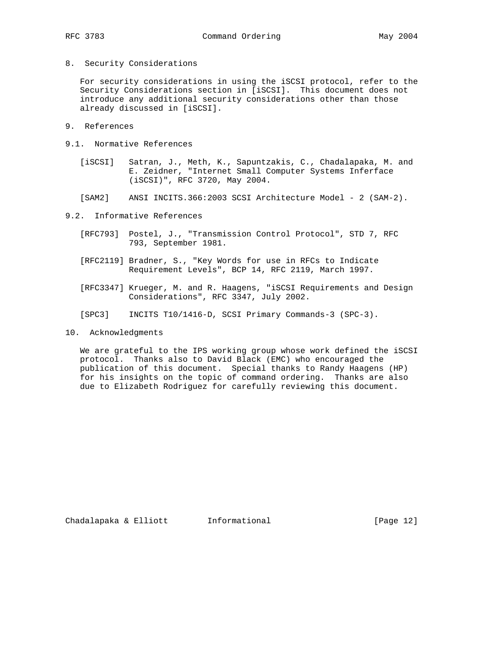8. Security Considerations

 For security considerations in using the iSCSI protocol, refer to the Security Considerations section in [iSCSI]. This document does not introduce any additional security considerations other than those already discussed in [iSCSI].

- 9. References
- 9.1. Normative References
	- [iSCSI] Satran, J., Meth, K., Sapuntzakis, C., Chadalapaka, M. and E. Zeidner, "Internet Small Computer Systems Inferface (iSCSI)", RFC 3720, May 2004.
	- [SAM2] ANSI INCITS.366:2003 SCSI Architecture Model 2 (SAM-2).
- 9.2. Informative References
	- [RFC793] Postel, J., "Transmission Control Protocol", STD 7, RFC 793, September 1981.
	- [RFC2119] Bradner, S., "Key Words for use in RFCs to Indicate Requirement Levels", BCP 14, RFC 2119, March 1997.
	- [RFC3347] Krueger, M. and R. Haagens, "iSCSI Requirements and Design Considerations", RFC 3347, July 2002.
	- [SPC3] INCITS T10/1416-D, SCSI Primary Commands-3 (SPC-3).
- 10. Acknowledgments

 We are grateful to the IPS working group whose work defined the iSCSI protocol. Thanks also to David Black (EMC) who encouraged the publication of this document. Special thanks to Randy Haagens (HP) for his insights on the topic of command ordering. Thanks are also due to Elizabeth Rodriguez for carefully reviewing this document.

Chadalapaka & Elliott Informational [Page 12]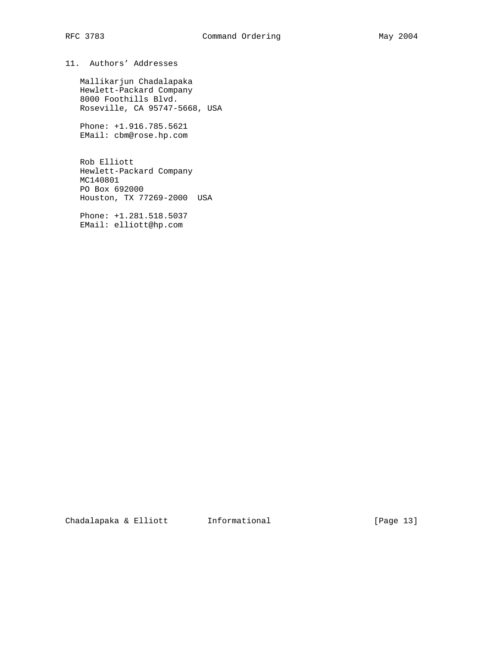# 11. Authors' Addresses

 Mallikarjun Chadalapaka Hewlett-Packard Company 8000 Foothills Blvd. Roseville, CA 95747-5668, USA

 Phone: +1.916.785.5621 EMail: cbm@rose.hp.com

 Rob Elliott Hewlett-Packard Company MC140801 PO Box 692000 Houston, TX 77269-2000 USA

 Phone: +1.281.518.5037 EMail: elliott@hp.com